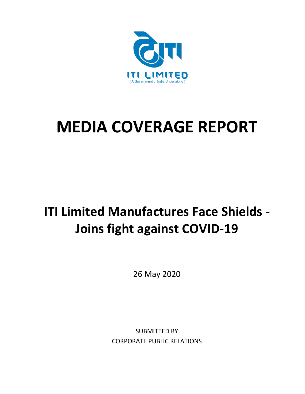

# **MEDIA COVERAGE REPORT**

### **ITI Limited Manufactures Face Shields - Joins fight against COVID-19**

26 May 2020

SUBMITTED BY CORPORATE PUBLIC RELATIONS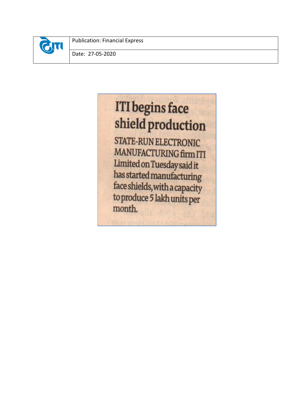

Publication: Financial Express

Date: 27-05-2020

## **ITI** begins face shield production

**STATE-RUN ELECTRONIC** MANUFACTURING firm ITI Limited on Tuesday said it has started manufacturing face shields, with a capacity to produce 5 lakh units per month.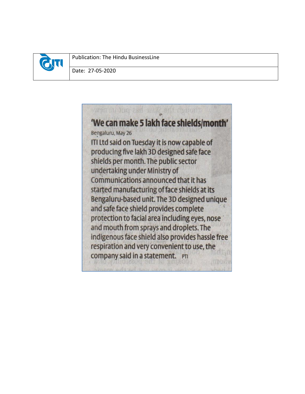

Publication: The Hindu BusinessLine

Date: 27-05-2020

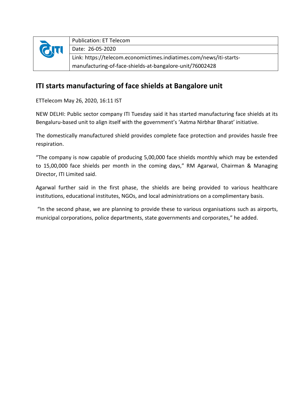

#### **ITI starts manufacturing of face shields at Bangalore unit**

ETTelecom May 26, 2020, 16:11 IST

NEW DELHI: Public sector company ITI Tuesday said it has started manufacturing face shields at its Bengaluru-based unit to align itself with the government's 'Aatma Nirbhar Bharat' initiative.

The domestically manufactured shield provides complete face protection and provides hassle free respiration.

"The company is now capable of producing 5,00,000 face shields monthly which may be extended to 15,00,000 face shields per month in the coming days," RM Agarwal, Chairman & Managing Director, ITI Limited said.

Agarwal further said in the first phase, the shields are being provided to various healthcare institutions, educational institutes, NGOs, and local administrations on a complimentary basis.

"In the second phase, we are planning to provide these to various organisations such as airports, municipal corporations, police departments, state governments and corporates," he added.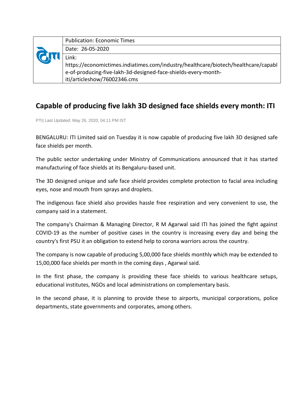|  | <b>Publication: Economic Times</b>                                                                                                                   |
|--|------------------------------------------------------------------------------------------------------------------------------------------------------|
|  | Date: 26-05-2020                                                                                                                                     |
|  | Link:                                                                                                                                                |
|  | https://economictimes.indiatimes.com/industry/healthcare/biotech/healthcare/capabl<br>e-of-producing-five-lakh-3d-designed-face-shields-every-month- |
|  | iti/articleshow/76002346.cms                                                                                                                         |

#### **Capable of producing five lakh 3D designed face shields every month: ITI**

PTI| Last Updated: May 26, 2020, 04.11 PM IST

BENGALURU: ITI Limited said on Tuesday it is now capable of producing five lakh 3D designed safe face shields per month.

The public sector undertaking under Ministry of Communications announced that it has started manufacturing of face shields at its Bengaluru-based unit.

The 3D designed unique and safe face shield provides complete protection to facial area including eyes, nose and mouth from sprays and droplets.

The indigenous face shield also provides hassle free respiration and very convenient to use, the company said in a statement.

The company's Chairman & Managing Director, R M Agarwal said ITI has joined the fight against COVID-19 as the number of positive cases in the country is increasing every day and being the country's first PSU it an obligation to extend help to corona warriors across the country.

The company is now capable of producing 5,00,000 face shields monthly which may be extended to 15,00,000 face shields per month in the coming days , Agarwal said.

In the first phase, the company is providing these face shields to various healthcare setups, educational institutes, NGOs and local administrations on complementary basis.

In the second phase, it is planning to provide these to airports, municipal corporations, police departments, state governments and corporates, among others.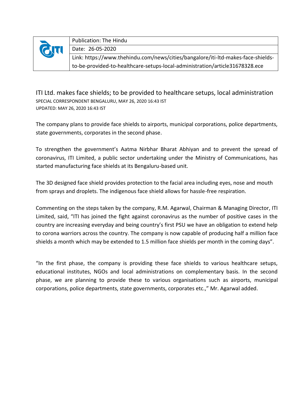

Publication: The Hindu Date: 26-05-2020 Link: https://www.thehindu.com/news/cities/bangalore/iti-ltd-makes-face-shieldsto-be-provided-to-healthcare-setups-local-administration/article31678328.ece

ITI Ltd. makes face shields; to be provided to healthcare setups, local administration SPECIAL CORRESPONDENT BENGALURU, MAY 26, 2020 16:43 IST UPDATED: MAY 26, 2020 16:43 IST

The company plans to provide face shields to airports, municipal corporations, police departments, state governments, corporates in the second phase.

To strengthen the government's Aatma Nirbhar Bharat Abhiyan and to prevent the spread of coronavirus, ITI Limited, a public sector undertaking under the Ministry of Communications, has started manufacturing face shields at its Bengaluru-based unit.

The 3D designed face shield provides protection to the facial area including eyes, nose and mouth from sprays and droplets. The indigenous face shield allows for hassle-free respiration.

Commenting on the steps taken by the company, R.M. Agarwal, Chairman & Managing Director, ITI Limited, said, "ITI has joined the fight against coronavirus as the number of positive cases in the country are increasing everyday and being country's first PSU we have an obligation to extend help to corona warriors across the country. The company is now capable of producing half a million face shields a month which may be extended to 1.5 million face shields per month in the coming days".

"In the first phase, the company is providing these face shields to various healthcare setups, educational institutes, NGOs and local administrations on complementary basis. In the second phase, we are planning to provide these to various organisations such as airports, municipal corporations, police departments, state governments, corporates etc.," Mr. Agarwal added.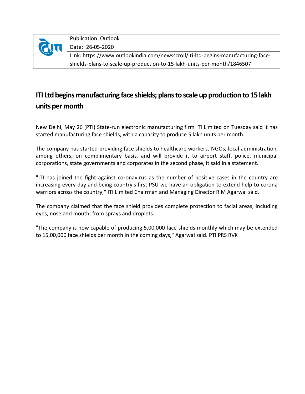| <b>QTI</b> | <b>Publication: Outlook</b>                                                      |
|------------|----------------------------------------------------------------------------------|
|            | Date: 26-05-2020                                                                 |
|            | Link: https://www.outlookindia.com/newsscroll/iti-ltd-begins-manufacturing-face- |
|            | shields-plans-to-scale-up-production-to-15-lakh-units-per-month/1846507          |

#### **ITI Ltd begins manufacturing face shields; plans to scale up production to 15 lakh units per month**

New Delhi, May 26 (PTI) State-run electronic manufacturing firm ITI Limited on Tuesday said it has started manufacturing face shields, with a capacity to produce 5 lakh units per month.

The company has started providing face shields to healthcare workers, NGOs, local administration, among others, on complimentary basis, and will provide it to airport staff, police, municipal corporations, state governments and corporates in the second phase, it said in a statement.

"ITI has joined the fight against coronavirus as the number of positive cases in the country are increasing every day and being country's first PSU we have an obligation to extend help to corona warriors across the country," ITI Limited Chairman and Managing Director R M Agarwal said.

The company claimed that the face shield provides complete protection to facial areas, including eyes, nose and mouth, from sprays and droplets.

"The company is now capable of producing 5,00,000 face shields monthly which may be extended to 15,00,000 face shields per month in the coming days," Agarwal said. PTI PRS RVK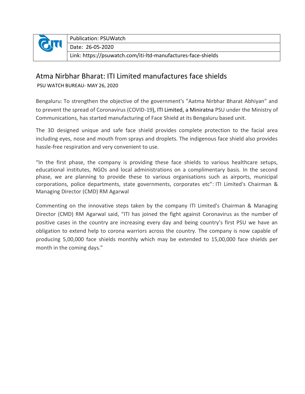

Publication: PSUWatch

Date: 26-05-2020

Link: https://psuwatch.com/iti-ltd-manufactures-face-shields

#### Atma Nirbhar Bharat: ITI Limited manufactures face shields

PSU WATCH BUREAU- MAY 26, 2020

Bengaluru: To strengthen the objective of the government's "Aatma Nirbhar Bharat Abhiyan" and to prevent the spread of Coronavirus (COVID-19), ITI [Limited,](https://psuwatch.com/covid-19-drdo-iti-to-team-up-to-manufacture-portable-ventilators) a Miniratna PSU under the Ministry of Communications, has started manufacturing of Face Shield at its Bengaluru based unit.

The 3D designed unique and safe face shield provides complete protection to the facial area including eyes, nose and mouth from sprays and droplets. The indigenous face shield also provides hassle-free respiration and very convenient to use.

"In the first phase, the company is providing these face shields to various healthcare setups, educational institutes, NGOs and local administrations on a complimentary basis. In the second phase, we are planning to provide these to various organisations such as airports, municipal corporations, police departments, state governments, corporates etc": ITI Limited's Chairman & Managing Director (CMD) RM Agarwal

Commenting on the innovative steps taken by the company ITI Limited's Chairman & Managing Director (CMD) RM Agarwal said, "ITI has joined the fight against Coronavirus as the number of positive cases in the country are increasing every day and being country's first PSU we have an obligation to extend help to corona warriors across the country. The company is now capable of producing 5,00,000 face shields monthly which may be extended to 15,00,000 face shields per month in the coming days."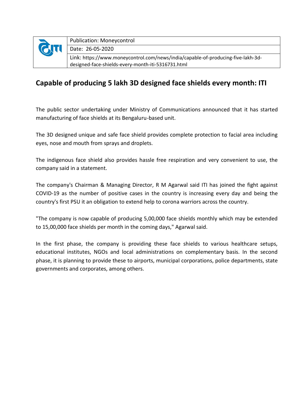|           | <b>Publication: Moneycontrol</b>                                                 |
|-----------|----------------------------------------------------------------------------------|
| <b>CT</b> | Date: 26-05-2020                                                                 |
|           | Link: https://www.moneycontrol.com/news/india/capable-of-producing-five-lakh-3d- |
|           | designed-face-shields-every-month-iti-5316731.html                               |

#### **Capable of producing 5 lakh 3D designed face shields every month: ITI**

The public sector undertaking under Ministry of Communications announced that it has started manufacturing of face shields at its Bengaluru-based unit.

The 3D designed unique and safe face shield provides complete protection to facial area including eyes, nose and mouth from sprays and droplets.

The indigenous face shield also provides hassle free respiration and very convenient to use, the company said in a statement.

The company's Chairman & Managing Director, R M Agarwal said ITI has joined the fight against COVID-19 as the number of positive cases in the country is increasing every day and being the country's first PSU it an obligation to extend help to corona warriors across the country.

"The company is now capable of producing 5,00,000 face shields monthly which may be extended to 15,00,000 face shields per month in the coming days," Agarwal said.

In the first phase, the company is providing these face shields to various healthcare setups, educational institutes, NGOs and local administrations on complementary basis. In the second phase, it is planning to provide these to airports, municipal corporations, police departments, state governments and corporates, among others.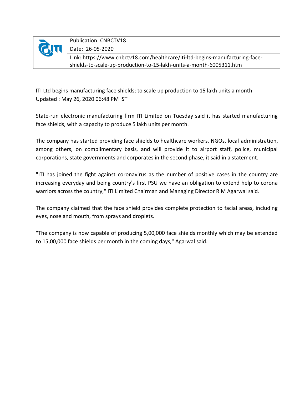|          | <b>Publication: CNBCTV18</b>                                                 |
|----------|------------------------------------------------------------------------------|
| $\sigma$ | Date: 26-05-2020                                                             |
|          | Link: https://www.cnbctv18.com/healthcare/iti-ltd-begins-manufacturing-face- |
|          | shields-to-scale-up-production-to-15-lakh-units-a-month-6005311.htm          |

ITI Ltd begins manufacturing face shields; to scale up production to 15 lakh units a month Updated : May 26, 2020 06:48 PM IST

State-run electronic manufacturing firm ITI Limited on Tuesday said it has started manufacturing face shields, with a capacity to produce 5 lakh units per month.

The company has started providing face shields to healthcare workers, NGOs, local administration, among others, on complimentary basis, and will provide it to airport staff, police, municipal corporations, state governments and corporates in the second phase, it said in a statement.

"ITI has joined the fight against coronavirus as the number of positive cases in the country are increasing everyday and being country's first PSU we have an obligation to extend help to corona warriors across the country," ITI Limited Chairman and Managing Director R M Agarwal said.

The company claimed that the face shield provides complete protection to facial areas, including eyes, nose and mouth, from sprays and droplets.

"The company is now capable of producing 5,00,000 face shields monthly which may be extended to 15,00,000 face shields per month in the coming days," Agarwal said.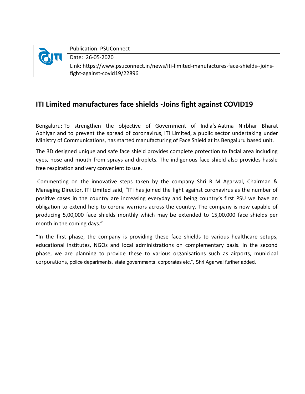| Publication: PSUConnect                                        |
|----------------------------------------------------------------|
| Date: 26-05-2020                                               |
| $\Box$ link: https://www.nsuconnect.in/news/iti-limited-manufa |

Link: https://www.psuconnect.in/news/iti-limited-manufactures-face-shields--joinsfight-against-covid19/22896

#### **ITI Limited manufactures face shields -Joins fight against COVID19**

Bengaluru: To strengthen the objective of Government of India's Aatma Nirbhar Bharat Abhiyan and to prevent the spread of coronavirus, ITI Limited, a public sector undertaking under Ministry of Communications, has started manufacturing of Face Shield at its Bengaluru based unit.

The 3D designed unique and safe face shield provides complete protection to facial area including eyes, nose and mouth from sprays and droplets. The indigenous face shield also provides hassle free respiration and very convenient to use.

Commenting on the innovative steps taken by the company Shri R M Agarwal, Chairman & Managing Director, ITI Limited said, "ITI has joined the fight against coronavirus as the number of positive cases in the country are increasing everyday and being country's first PSU we have an obligation to extend help to corona warriors across the country. The company is now capable of producing 5,00,000 face shields monthly which may be extended to 15,00,000 face shields per month in the coming days."

"In the first phase, the company is providing these face shields to various healthcare setups, educational institutes, NGOs and local administrations on complementary basis. In the second phase, we are planning to provide these to various organisations such as airports, municipal corporations, police departments, state governments, corporates etc.", Shri Agarwal further added.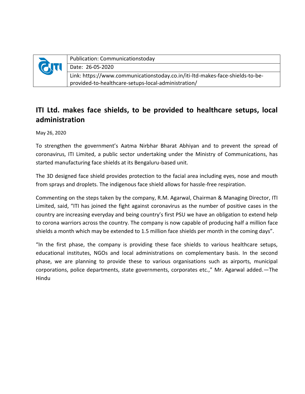|            | <b>Publication: Communicationstoday</b>                                       |
|------------|-------------------------------------------------------------------------------|
| <b>QTI</b> | Date: 26-05-2020                                                              |
|            | Link: https://www.communicationstoday.co.in/iti-ltd-makes-face-shields-to-be- |
|            | provided-to-healthcare-setups-local-administration/                           |

#### **ITI Ltd. makes face shields, to be provided to healthcare setups, local administration**

May 26, 2020

To strengthen the government's Aatma Nirbhar Bharat Abhiyan and to prevent the spread of coronavirus, ITI Limited, a public sector undertaking under the Ministry of Communications, has started manufacturing face shields at its Bengaluru-based unit.

The 3D designed face shield provides protection to the facial area including eyes, nose and mouth from sprays and droplets. The indigenous face shield allows for hassle-free respiration.

Commenting on the steps taken by the company, R.M. Agarwal, Chairman & Managing Director, ITI Limited, said, "ITI has joined the fight against coronavirus as the number of positive cases in the country are increasing everyday and being country's first PSU we have an obligation to extend help to corona warriors across the country. The company is now capable of producing half a million face shields a month which may be extended to 1.5 million face shields per month in the coming days".

"In the first phase, the company is providing these face shields to various healthcare setups, educational institutes, NGOs and local administrations on complementary basis. In the second phase, we are planning to provide these to various organisations such as airports, municipal corporations, police departments, state governments, corporates etc.," Mr. Agarwal added.—The Hindu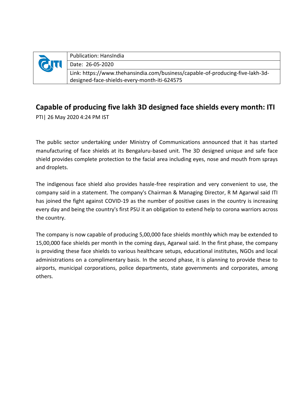| <b>QTI</b> | Publication: HansIndia                                                         |
|------------|--------------------------------------------------------------------------------|
|            | Date: 26-05-2020                                                               |
|            | Link: https://www.thehansindia.com/business/capable-of-producing-five-lakh-3d- |
|            | designed-face-shields-every-month-iti-624575                                   |

#### **Capable of producing five lakh 3D designed face shields every month: ITI**

PTI| 26 May 2020 4:24 PM IST

The public sector undertaking under Ministry of Communications announced that it has started manufacturing of face shields at its Bengaluru-based unit. The 3D designed unique and safe face shield provides complete protection to the facial area including eyes, nose and mouth from sprays and droplets.

The indigenous face shield also provides hassle-free respiration and very convenient to use, the company said in a statement. The company's Chairman & Managing Director, R M Agarwal said ITI has joined the fight against COVID-19 as the number of positive cases in the country is increasing every day and being the country's first PSU it an obligation to extend help to corona warriors across the country.

The company is now capable of producing 5,00,000 face shields monthly which may be extended to 15,00,000 face shields per month in the coming days, Agarwal said. In the first phase, the company is providing these face shields to various healthcare setups, educational institutes, NGOs and local administrations on a complimentary basis. In the second phase, it is planning to provide these to airports, municipal corporations, police departments, state governments and corporates, among others.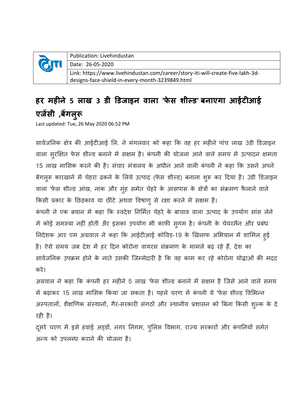|           | Publication: Livehindustan                                                     |
|-----------|--------------------------------------------------------------------------------|
| <b>QT</b> | Date: 26-05-2020                                                               |
|           | Link: https://www.livehindustan.com/career/story-iti-will-create-five-lakh-3d- |
|           | designs-face-shield-in-every-month-3239849.html                                |

### **हर महीने 5 लाख 3 डी डडजाइन वाला 'फे स शील्ड' बनाएगा आईटीआई एजेंसी ,बेंगलरूु**

Last updated: Tue, 26 May 2020 06:52 PM

सार्वजनिक क्षेत्र की आईटीआई लि. ने मंगलवार को कहा कि वह हर महीने पांच लाख 3डी डिजाइन वाला सुरक्षित फेस शील्ड बनाने में सक्षम है। कंपनी की योजना आने वाले समय में उत्पादन क्षमता 15 लाख मासिक करने की है। संचार मंत्रालय के अधीन आने वाली कंपनी ने कहा कि उसने अपने बेंगलुरू कारखाने में चेहरा ढकने के लिये उत्पाद (फेस शील्ड) बनाना शुरू कर दिया है। 3डी डिजाइन वाला 'फेस शील्ड आंख, नाक और मुंह समेत चेहरे के आसपास के क्षेत्रों का संक्रमण फैलाने वाले किसी प्रकार के छिड़काव या छींटे अथवा विषाणु से रक्षा करने में सक्षम है। कंपनी ने एक बयान में कहा कि स्वदेश निर्मित चेहरे के बाचाव वाला उत्पाद के उपयोग सांस लेने में कोई समस्या नहीं होती अैर इसका उपयोग भी काफी सुगम है। कंपनी के चेयरमैन और प्रबंध निदेशक आर एम अग्रवाल ने कहा कि आईटीआई कोविड-19 के खिलाफ अभियान में शामिल हुई है। ऐसे समय जब देश में हर दिन कोरोना वायरस संक्रमण के मामले बढ़ रहे हैं, देश का सार्वजनिक उपक्रम होने के नाते उसकी जिम्मेदारी है कि वह काम कर रहे कोरोना योद्धाओं की मदद करे।

अग्रवाल ने कहा कि कंपनी हर महीने 5 लाख 'फेस शील्ड बनाने में सक्षम है जिसे आने वाले समय में बढ़ाकर 15 लाख मासिक किया जा सकता है। पहले चरण में कंपनी ये 'फेस शील्ड विभिन्न अस्पतालों, शैक्षणिक संस्थानों, गैर-सरकारी संगठों और स्थानीय प्रशासन को बिना किसी शुल्क के दे रही है।

दूसरे चरण में इसे हवाई अड्डों, नगर निगम, पुलिस विभाग, राज्य सरकारों और कंपनियों समेत अन्य को उपलब्ध कराने की योजना है।